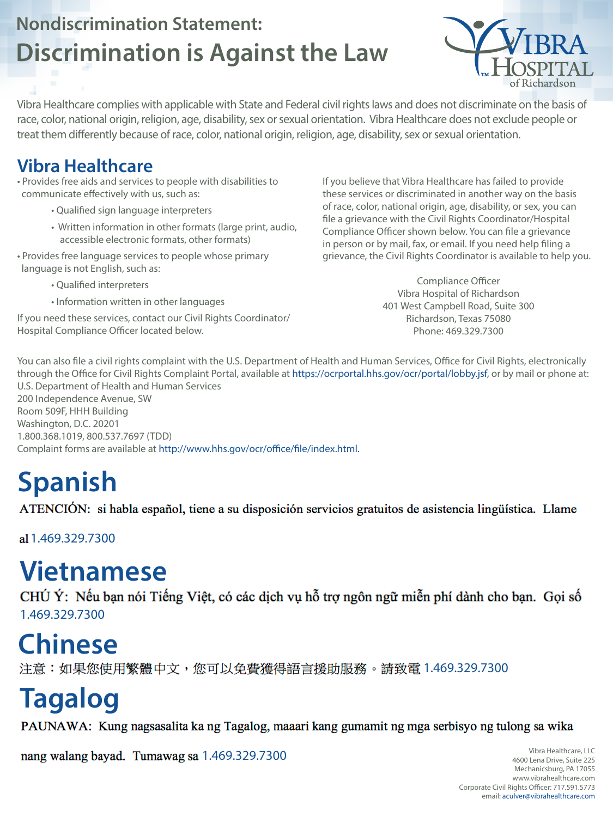## **Nondiscrimination Statement: Discrimination is Against the Law**



#### **Vibra Healthcare**

- Provides free aids and services to people with disabilities to communicate effectively with us, such as:
	- Qualified sign language interpreters
	- Written information in other formats (large print, audio, accessible electronic formats, other formats)
- Provides free language services to people whose primary language is not English, such as:

• Qualified interpreters

- Information written in other languages
- If you need these services, contact our Civil Rights Coordinator/ Hospital Compliance Officer located below.

If you believe that Vibra Healthcare has failed to provide these services or discriminated in another way on the basis of race, color, national origin, age, disability, or sex, you can file a grievance with the Civil Rights Coordinator/Hospital Compliance Officer shown below. You can file a grievance in person or by mail, fax, or email. If you need help filing a grievance, the Civil Rights Coordinator is available to help you.

CHÚ Ý: Nếu bạn nói Tiếng Việt, có các dịch vụ hỗ trợ ngôn ngữ miễn phí dành cho bạn. Gọi số 1.469.329.7300

Compliance Officer Vibra Hospital of Richardson 401 West Campbell Road, Suite 300 Richardson, Texas 75080 Phone: 469.329.7300

You can also file a civil rights complaint with the U.S. Department of Health and Human Services, Office for Civil Rights, electronically through the Office for Civil Rights Complaint Portal, available at https://ocrportal.hhs.gov/ocr/portal/lobby.jsf, or by mail or phone at: U.S. Department of Health and Human Services 200 Independence Avenue, SW Room 509F, HHH Building Washington, D.C. 20201 1.800.368.1019, 800.537.7697 (TDD) Complaint forms are available at http://www.hhs.gov/ocr/office/file/index.html.

# **Spanish**

ATENCIÓN: si habla español, tiene a su disposición servicios gratuitos de asistencia lingüística. Llame

al 1.469.329.7300

## **Chinese**

注意:如果您使用繁體中文,您可以免費獲得語言援助服務。請致電 1.469.329.7300

## **Vietnamese**

## **Tagalog**

PAUNAWA: Kung nagsasalita ka ng Tagalog, maaari kang gumamit ng mga serbisyo ng tulong sa wika

nang walang bayad. Tumawag sa 1.469.329.7300

Vibra Healthcare complies with applicable with State and Federal civil rights laws and does not discriminate on the basis of race, color, national origin, religion, age, disability, sex or sexual orientation. Vibra Healthcare does not exclude people or treat them differently because of race, color, national origin, religion, age, disability, sex or sexual orientation.

> Vibra Healthcare, LLC 4600 Lena Drive, Suite 225 Mechanicsburg, PA 17055 www.vibrahealthcare.com Corporate Civil Rights Officer: 717.591.5773 email: aculver@vibrahealthcare.com